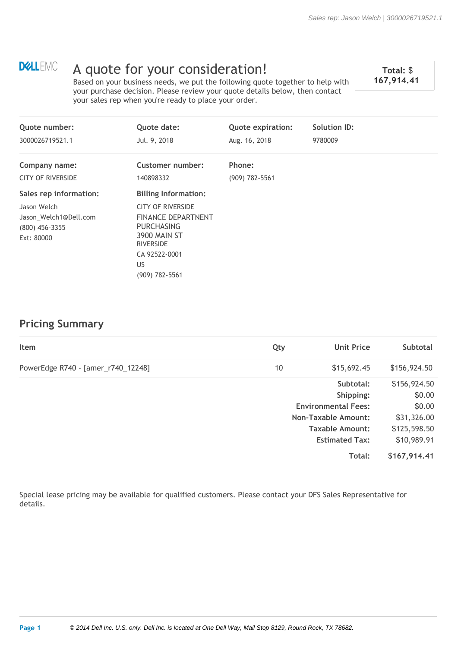# **DELLEMC**

# A quote for your consideration!<br> **Example 167,914.41**<br> **Example 167,914.41**

Based on your business needs, we put the following quote together to help with your purchase decision. Please review your quote details below, then contact your sales rep when you're ready to place your order.

| Quote date:                                                                                                                                  | <b>Quote expiration:</b> | <b>Solution ID:</b> |  |
|----------------------------------------------------------------------------------------------------------------------------------------------|--------------------------|---------------------|--|
| Jul. 9, 2018                                                                                                                                 | Aug. 16, 2018            | 9780009             |  |
| <b>Customer number:</b>                                                                                                                      | Phone:                   |                     |  |
| 140898332                                                                                                                                    | $(909)$ 782-5561         |                     |  |
| <b>Billing Information:</b>                                                                                                                  |                          |                     |  |
| <b>CITY OF RIVERSIDE</b><br><b>FINANCE DEPARTNENT</b><br><b>PURCHASING</b><br><b>3900 MAIN ST</b><br><b>RIVERSIDE</b><br>CA 92522-0001<br>US |                          |                     |  |
|                                                                                                                                              | (909) 782-5561           |                     |  |

## **Pricing Summary**

| Item                               | Qty | <b>Unit Price</b>          | <b>Subtotal</b> |
|------------------------------------|-----|----------------------------|-----------------|
| PowerEdge R740 - [amer_r740_12248] | 10  | \$15,692.45                | \$156,924.50    |
|                                    |     | Subtotal:                  | \$156,924.50    |
|                                    |     | Shipping:                  | \$0.00          |
|                                    |     | <b>Environmental Fees:</b> | \$0.00          |
|                                    |     | <b>Non-Taxable Amount:</b> | \$31,326.00     |
|                                    |     | Taxable Amount:            | \$125,598.50    |
|                                    |     | <b>Estimated Tax:</b>      | \$10,989.91     |
|                                    |     | Total:                     | \$167,914.41    |

Special lease pricing may be available for qualified customers. Please contact your DFS Sales Representative for details.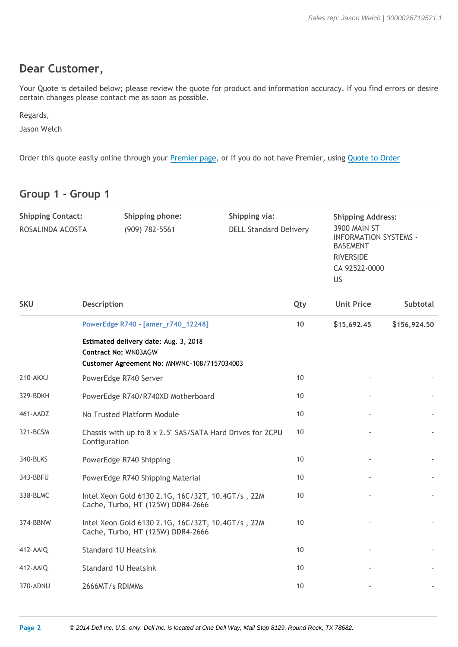## **Dear Customer,**

Your Quote is detailed below; please review the quote for product and information accuracy. If you find errors or desire certain changes please contact me as soon as possible.

Regards,

Jason Welch

Order this quote easily online through your Premier page, or if you do not have Premier, using Quote to Order

## **Group 1 - Group 1**

| <b>Shipping Contact:</b><br>ROSALINDA ACOSTA | Shipping phone:<br>(909) 782-5561                                                                                   | Shipping via:<br><b>DELL Standard Delivery</b> | <b>BASEMENT</b><br><b>RIVERSIDE</b><br>US | <b>Shipping Address:</b><br><b>3900 MAIN ST</b><br><b>INFORMATION SYSTEMS -</b><br>CA 92522-0000 |  |
|----------------------------------------------|---------------------------------------------------------------------------------------------------------------------|------------------------------------------------|-------------------------------------------|--------------------------------------------------------------------------------------------------|--|
| <b>SKU</b>                                   | <b>Description</b>                                                                                                  | Qty                                            | <b>Unit Price</b>                         | <b>Subtotal</b>                                                                                  |  |
|                                              | PowerEdge R740 - [amer_r740_12248]                                                                                  | 10                                             | \$15,692.45                               | \$156,924.50                                                                                     |  |
|                                              | Estimated delivery date: Aug. 3, 2018<br><b>Contract No: WN03AGW</b><br>Customer Agreement No: MNWNC-108/7157034003 |                                                |                                           |                                                                                                  |  |
| 210-AKXJ                                     | PowerEdge R740 Server                                                                                               | 10                                             |                                           |                                                                                                  |  |
| 329-BDKH                                     | PowerEdge R740/R740XD Motherboard                                                                                   | 10                                             |                                           |                                                                                                  |  |
| 461-AADZ                                     | No Trusted Platform Module                                                                                          | 10                                             |                                           |                                                                                                  |  |
| 321-BCSM                                     | Chassis with up to 8 x 2.5" SAS/SATA Hard Drives for 2CPU<br>Configuration                                          | 10                                             |                                           |                                                                                                  |  |
| 340-BLKS                                     | PowerEdge R740 Shipping                                                                                             | 10                                             |                                           |                                                                                                  |  |
| 343-BBFU                                     | PowerEdge R740 Shipping Material                                                                                    | 10                                             |                                           |                                                                                                  |  |
| 338-BLMC                                     | Intel Xeon Gold 6130 2.1G, 16C/32T, 10.4GT/s, 22M<br>Cache, Turbo, HT (125W) DDR4-2666                              | 10                                             |                                           |                                                                                                  |  |
| 374-BBNW                                     | Intel Xeon Gold 6130 2.1G, 16C/32T, 10.4GT/s, 22M<br>Cache, Turbo, HT (125W) DDR4-2666                              | 10                                             |                                           |                                                                                                  |  |
| 412-AAIQ                                     | <b>Standard 1U Heatsink</b>                                                                                         | 10                                             |                                           |                                                                                                  |  |
| 412-AAIQ                                     | <b>Standard 1U Heatsink</b>                                                                                         | 10                                             |                                           |                                                                                                  |  |
| 370-ADNU                                     | 2666MT/s RDIMMs                                                                                                     | 10                                             |                                           |                                                                                                  |  |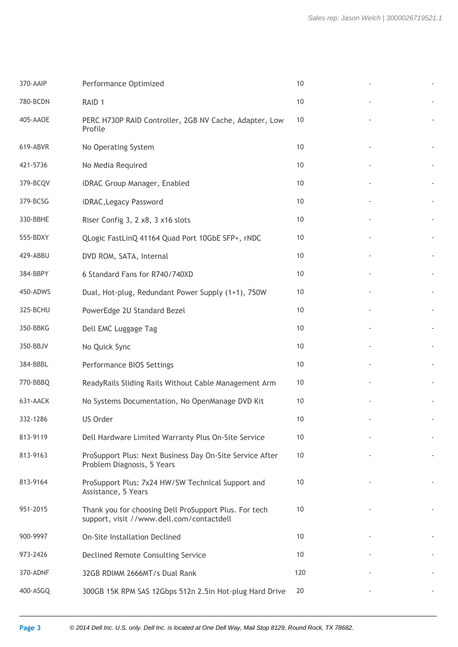| 370-AAIP | Performance Optimized                                                                              | 10   |  |
|----------|----------------------------------------------------------------------------------------------------|------|--|
| 780-BCDN | RAID <sub>1</sub>                                                                                  | 10   |  |
| 405-AAOE | PERC H730P RAID Controller, 2GB NV Cache, Adapter, Low<br>Profile                                  | 10   |  |
| 619-ABVR | No Operating System                                                                                | 10   |  |
| 421-5736 | No Media Required                                                                                  | 10   |  |
| 379-BCQV | iDRAC Group Manager, Enabled                                                                       | 10   |  |
| 379-BCSG | iDRAC, Legacy Password                                                                             | 10   |  |
| 330-BBHE | Riser Config 3, 2 x8, 3 x16 slots                                                                  | 10   |  |
| 555-BDXY | QLogic FastLinQ 41164 Quad Port 10GbE SFP+, rNDC                                                   | 10   |  |
| 429-ABBU | DVD ROM, SATA, Internal                                                                            | 10   |  |
| 384-BBPY | 6 Standard Fans for R740/740XD                                                                     | 10   |  |
| 450-ADWS | Dual, Hot-plug, Redundant Power Supply (1+1), 750W                                                 | 10   |  |
| 325-BCHU | PowerEdge 2U Standard Bezel                                                                        | 10   |  |
| 350-BBKG | Dell EMC Luggage Tag                                                                               | 10   |  |
| 350-BBJV | No Quick Sync                                                                                      | 10   |  |
| 384-BBBL | Performance BIOS Settings                                                                          | $10$ |  |
| 770-BBBQ | ReadyRails Sliding Rails Without Cable Management Arm                                              | 10   |  |
| 631-AACK | No Systems Documentation, No OpenManage DVD Kit                                                    | $10$ |  |
| 332-1286 | <b>US Order</b>                                                                                    | $10$ |  |
| 813-9119 | Dell Hardware Limited Warranty Plus On-Site Service                                                | 10   |  |
| 813-9163 | ProSupport Plus: Next Business Day On-Site Service After<br>Problem Diagnosis, 5 Years             | 10   |  |
| 813-9164 | ProSupport Plus: 7x24 HW/SW Technical Support and<br>Assistance, 5 Years                           | 10   |  |
| 951-2015 | Thank you for choosing Dell ProSupport Plus. For tech<br>support, visit //www.dell.com/contactdell | 10   |  |
| 900-9997 | <b>On-Site Installation Declined</b>                                                               | 10   |  |
| 973-2426 | <b>Declined Remote Consulting Service</b>                                                          | 10   |  |
| 370-ADNF | 32GB RDIMM 2666MT/s Dual Rank                                                                      | 120  |  |
| 400-ASGQ | 300GB 15K RPM SAS 12Gbps 512n 2.5in Hot-plug Hard Drive                                            | 20   |  |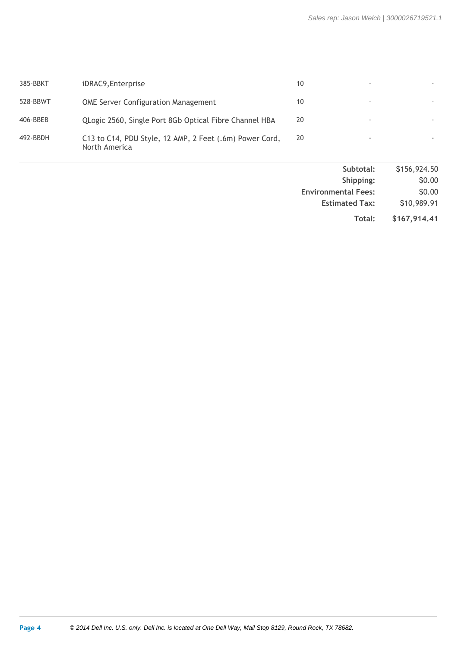| 385-BBKT | iDRAC9, Enterprise                                                       | 10 |   |  |
|----------|--------------------------------------------------------------------------|----|---|--|
| 528-BBWT | <b>OME Server Configuration Management</b>                               | 10 | ٠ |  |
| 406-BBEB | QLogic 2560, Single Port 8Gb Optical Fibre Channel HBA                   | 20 |   |  |
| 492-BBDH | C13 to C14, PDU Style, 12 AMP, 2 Feet (.6m) Power Cord,<br>North America | 20 |   |  |

| \$156,924.50 | Subtotal:                  |
|--------------|----------------------------|
| \$0.00       | Shipping:                  |
| \$0.00       | <b>Environmental Fees:</b> |
| \$10,989.91  | <b>Estimated Tax:</b>      |
| \$167,914.41 | Total:                     |